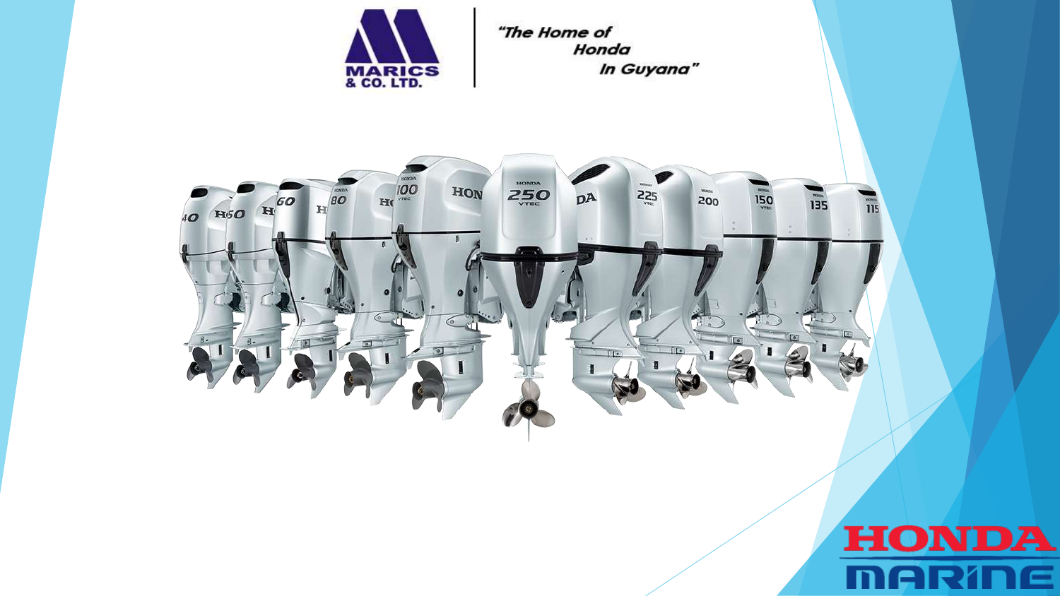

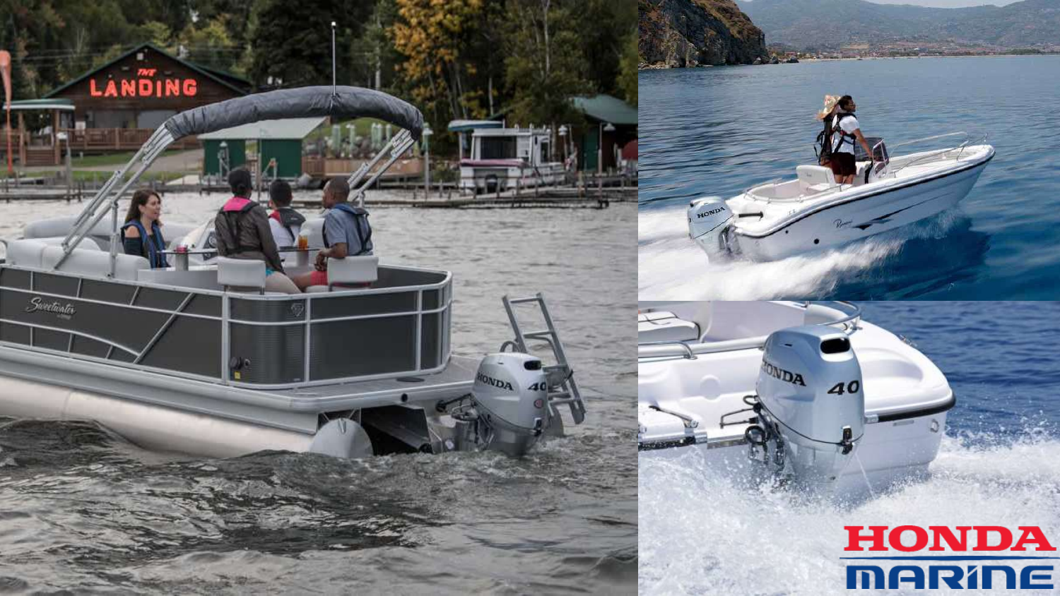## TONDA 40 **HONDA MARINE**

HONDA

**CONSTRU** 

 $ONDA$  40

LANDING

Sweetwater